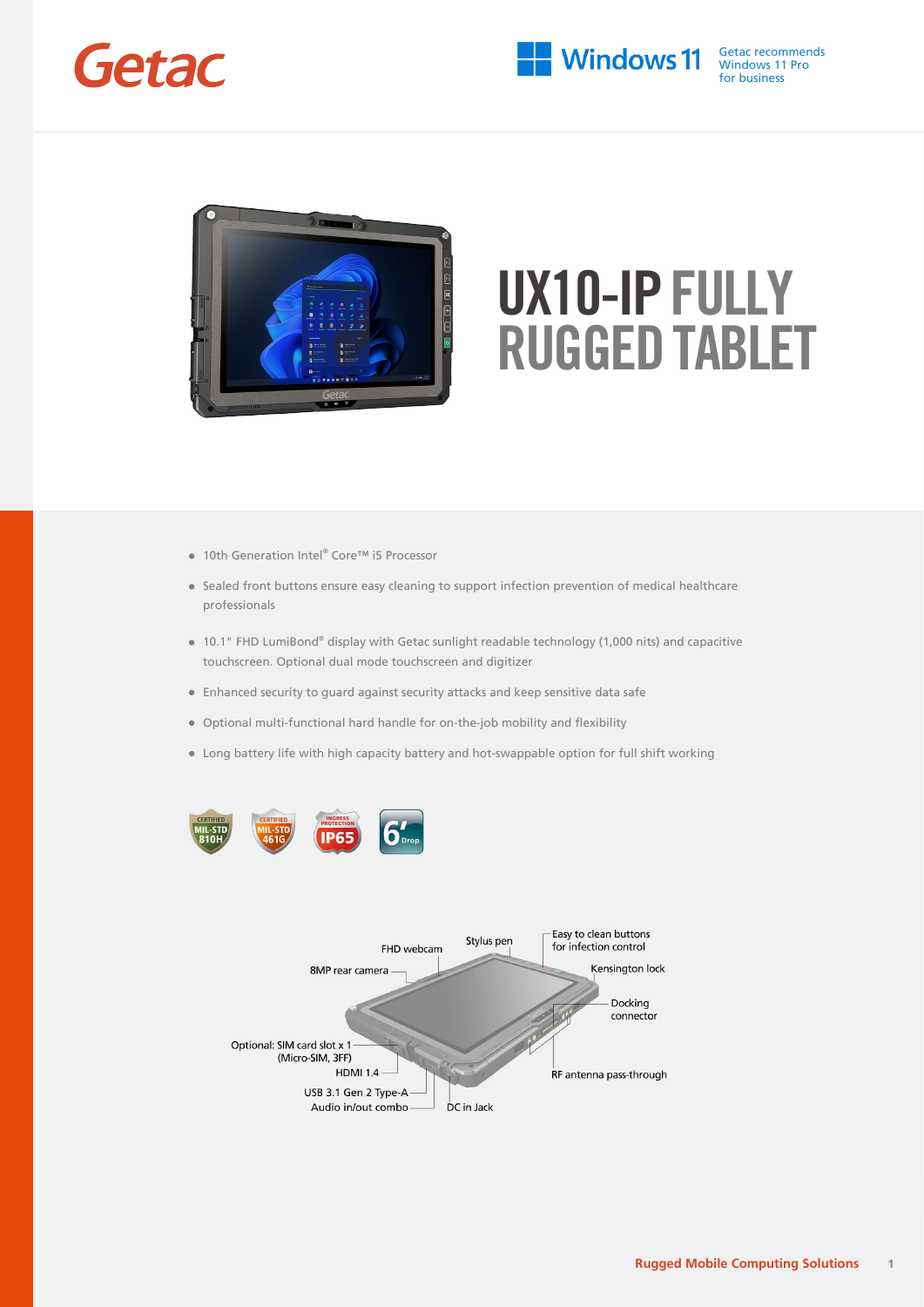



- 10th Generation Intel® Core™ i5 Processor
- Sealed front buttons ensure easy cleaning to support infection prevention of medical healthcare professionals
- 10.1" FHD LumiBond® display with Getac sunlight readable technology (1,000 nits) and capacitive touchscreen. Optional dual mode touchscreen and digitizer
- Enhanced security to guard against security attacks and keep sensitive data safe
- Optional multi-functional hard handle for on-the-job mobility and flexibility
- Long battery life with high capacity battery and hot-swappable option for full shift working



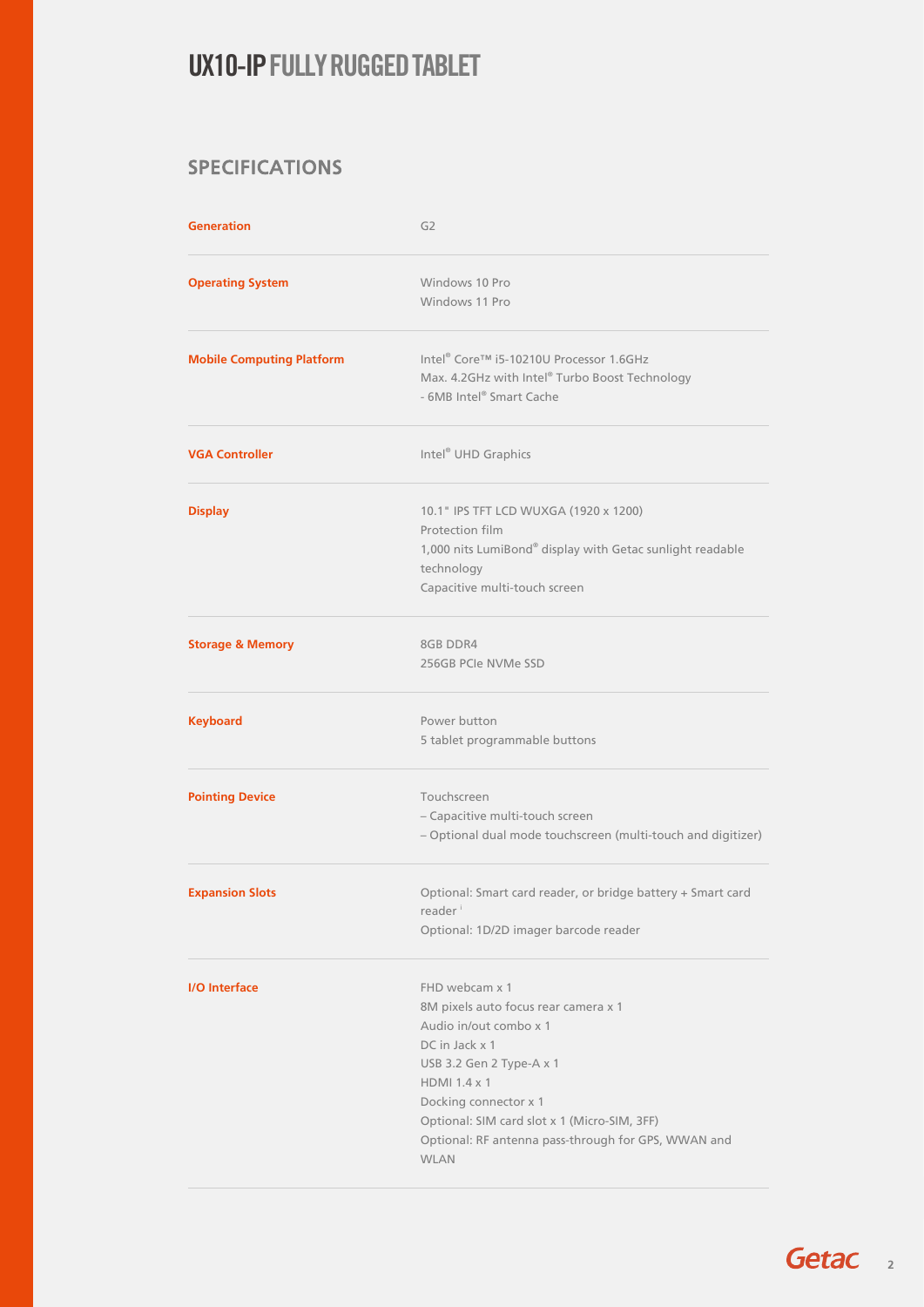### SPECIFICATIONS

| <b>Generation</b>                | G <sub>2</sub>                                                                                                                                                                                                                                                                                |  |
|----------------------------------|-----------------------------------------------------------------------------------------------------------------------------------------------------------------------------------------------------------------------------------------------------------------------------------------------|--|
| <b>Operating System</b>          | Windows 10 Pro<br>Windows 11 Pro                                                                                                                                                                                                                                                              |  |
| <b>Mobile Computing Platform</b> | Intel® Core™ i5-10210U Processor 1.6GHz<br>Max. 4.2GHz with Intel® Turbo Boost Technology<br>- 6MB Intel® Smart Cache                                                                                                                                                                         |  |
| <b>VGA Controller</b>            | Intel <sup>®</sup> UHD Graphics                                                                                                                                                                                                                                                               |  |
| <b>Display</b>                   | 10.1" IPS TFT LCD WUXGA (1920 x 1200)<br>Protection film<br>1,000 nits LumiBond® display with Getac sunlight readable<br>technology<br>Capacitive multi-touch screen                                                                                                                          |  |
| <b>Storage &amp; Memory</b>      | 8GB DDR4<br>256GB PCIe NVMe SSD                                                                                                                                                                                                                                                               |  |
| <b>Keyboard</b>                  | Power button<br>5 tablet programmable buttons                                                                                                                                                                                                                                                 |  |
| <b>Pointing Device</b>           | Touchscreen<br>- Capacitive multi-touch screen<br>- Optional dual mode touchscreen (multi-touch and digitizer)                                                                                                                                                                                |  |
| <b>Expansion Slots</b>           | Optional: Smart card reader, or bridge battery + Smart card<br>reader <sup>i</sup><br>Optional: 1D/2D imager barcode reader                                                                                                                                                                   |  |
| <b>I/O</b> Interface             | FHD webcam x 1<br>8M pixels auto focus rear camera x 1<br>Audio in/out combo x 1<br>DC in Jack x 1<br>USB 3.2 Gen 2 Type-A x 1<br>HDMI 1.4 x 1<br>Docking connector x 1<br>Optional: SIM card slot x 1 (Micro-SIM, 3FF)<br>Optional: RF antenna pass-through for GPS, WWAN and<br><b>WLAN</b> |  |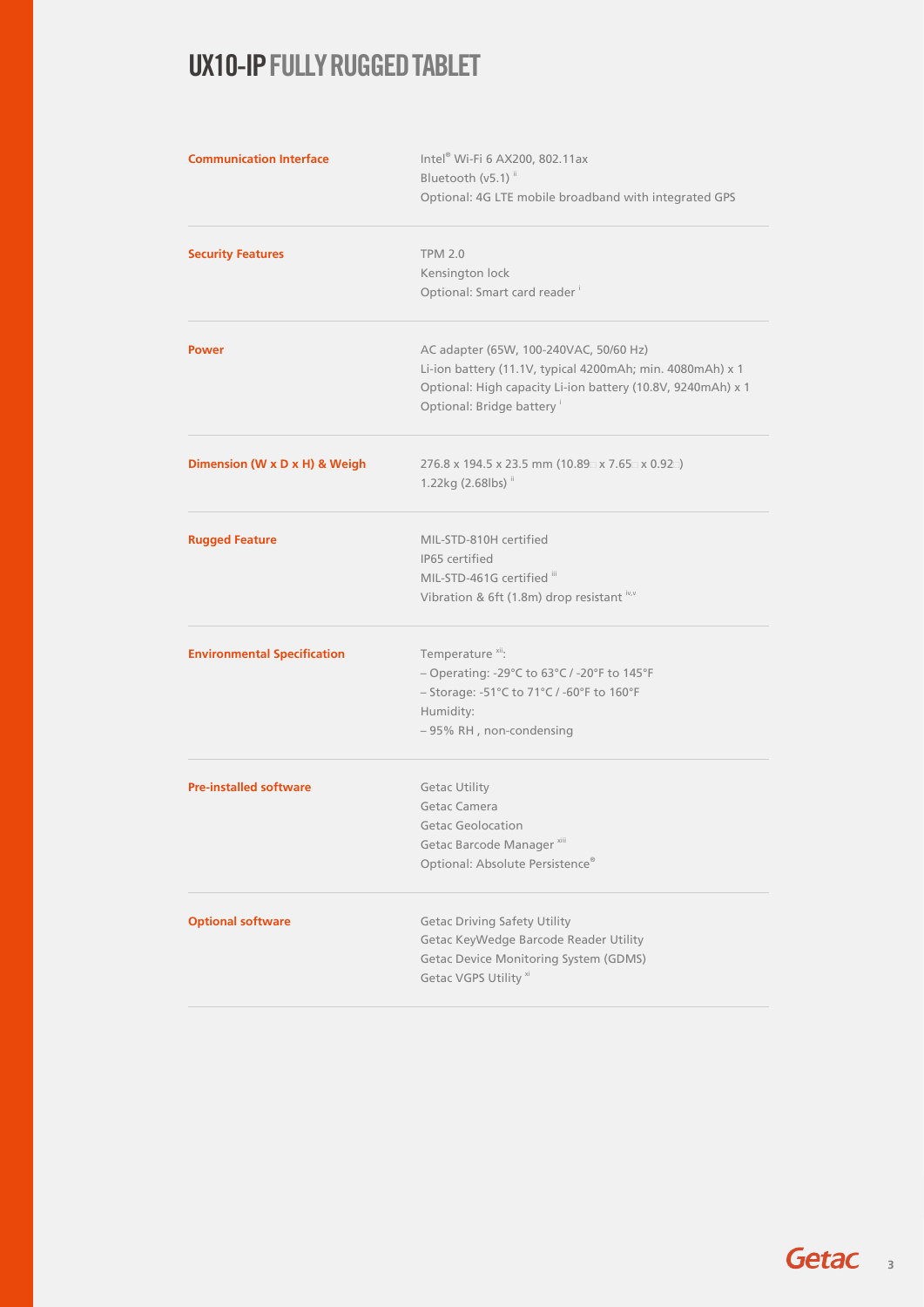| <b>Communication Interface</b>     | Intel® Wi-Fi 6 AX200, 802.11ax<br>Bluetooth (v5.1) <sup>ii</sup>                        |  |  |
|------------------------------------|-----------------------------------------------------------------------------------------|--|--|
|                                    | Optional: 4G LTE mobile broadband with integrated GPS                                   |  |  |
| <b>Security Features</b>           | <b>TPM 2.0</b>                                                                          |  |  |
|                                    | Kensington lock                                                                         |  |  |
|                                    | Optional: Smart card reader                                                             |  |  |
| <b>Power</b>                       | AC adapter (65W, 100-240VAC, 50/60 Hz)                                                  |  |  |
|                                    | Li-ion battery (11.1V, typical 4200mAh; min. 4080mAh) x 1                               |  |  |
|                                    | Optional: High capacity Li-ion battery (10.8V, 9240mAh) x 1<br>Optional: Bridge battery |  |  |
| Dimension (W x D x H) & Weigh      | 276.8 x 194.5 x 23.5 mm (10.89 x 7.65 x 0.92 )                                          |  |  |
|                                    | 1.22kg (2.68lbs) ii                                                                     |  |  |
| <b>Rugged Feature</b>              | MIL-STD-810H certified                                                                  |  |  |
|                                    | IP65 certified                                                                          |  |  |
|                                    | MIL-STD-461G certified iii                                                              |  |  |
|                                    | Vibration & 6ft (1.8m) drop resistant iv,v                                              |  |  |
| <b>Environmental Specification</b> | Temperature <sup>xii</sup> :                                                            |  |  |
|                                    | - Operating: -29°C to 63°C / -20°F to 145°F                                             |  |  |
|                                    | - Storage: -51°C to 71°C / -60°F to 160°F                                               |  |  |
|                                    | Humidity:                                                                               |  |  |
|                                    | - 95% RH, non-condensing                                                                |  |  |
| <b>Pre-installed software</b>      | <b>Getac Utility</b>                                                                    |  |  |
|                                    | Getac Camera                                                                            |  |  |
|                                    | <b>Getac Geolocation</b>                                                                |  |  |
|                                    | Getac Barcode Manager <sup>xiii</sup>                                                   |  |  |
|                                    | Optional: Absolute Persistence®                                                         |  |  |
| <b>Optional software</b>           | <b>Getac Driving Safety Utility</b>                                                     |  |  |
|                                    | Getac KeyWedge Barcode Reader Utility                                                   |  |  |
|                                    | <b>Getac Device Monitoring System (GDMS)</b>                                            |  |  |
|                                    | Getac VGPS Utility <sup>xi</sup>                                                        |  |  |

Getac<sub>3</sub>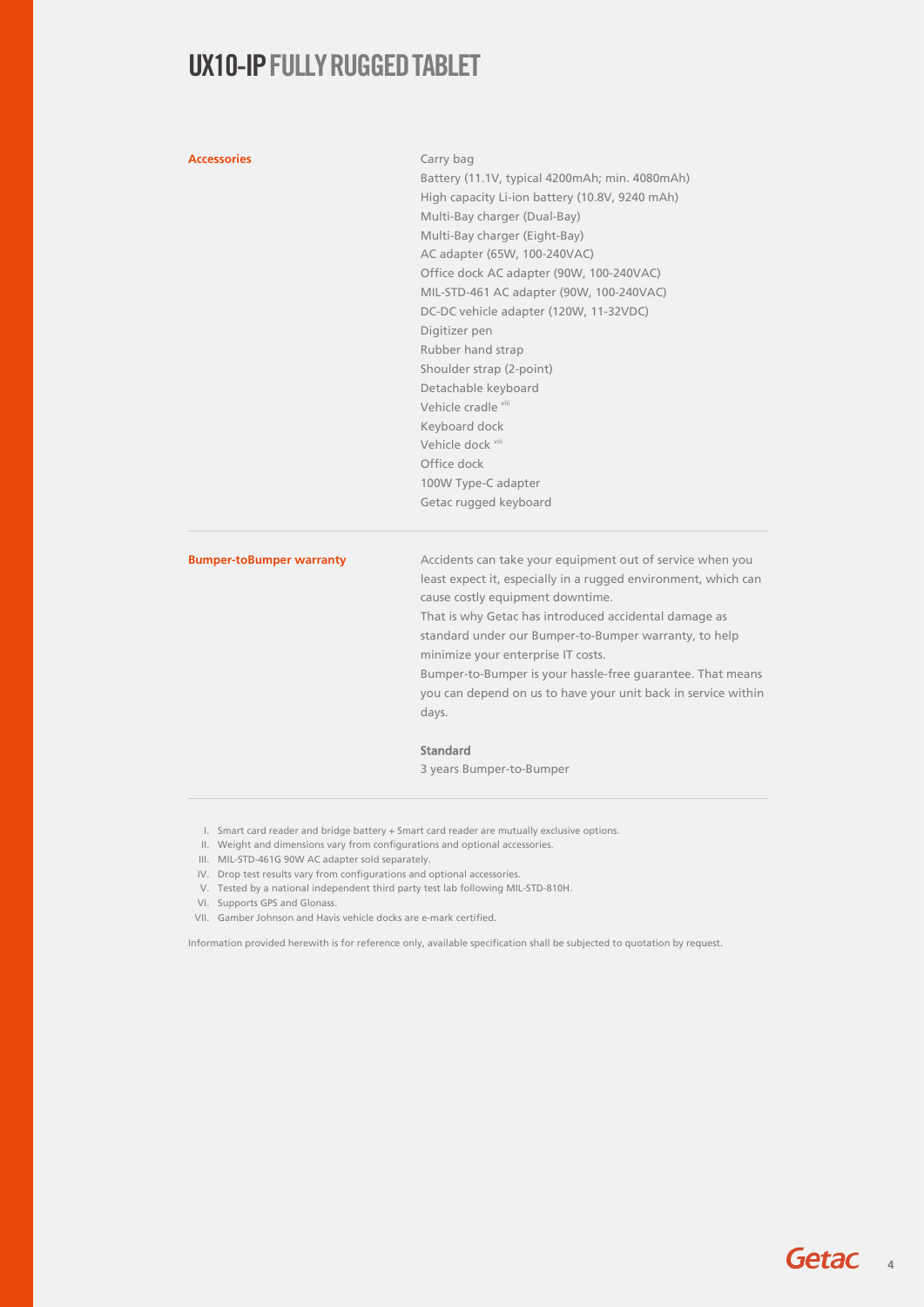### **Accessories** Carry bag

Battery (11.1V, typical 4200mAh; min. 4080mAh) High capacity Li-ion battery (10.8V, 9240 mAh) Multi-Bay charger (Dual-Bay) Multi-Bay charger (Eight-Bay) AC adapter (65W, 100-240VAC) Office dock AC adapter (90W, 100-240VAC) MIL-STD-461 AC adapter (90W, 100-240VAC) DC-DC vehicle adapter (120W, 11-32VDC) Digitizer pen Rubber hand strap Shoulder strap (2-point) Detachable keyboard Vehicle cradle viii Keyboard dock Vehicle dock vii Office dock 100W Type-C adapter Getac rugged keyboard

**Bumper-toBumper warranty** Accidents can take your equipment out of service when you least expect it, especially in a rugged environment, which can cause costly equipment downtime.

> That is why Getac has introduced accidental damage as standard under our Bumper-to-Bumper warranty, to help minimize your enterprise IT costs.

Bumper-to-Bumper is your hassle-free guarantee. That means you can depend on us to have your unit back in service within days.

### Standard

3 years Bumper-to-Bumper

- I. Smart card reader and bridge battery + Smart card reader are mutually exclusive options.
- II. Weight and dimensions vary from configurations and optional accessories.
- III. MIL-STD-461G 90W AC adapter sold separately.
- IV. Drop test results vary from configurations and optional accessories.
- V. Tested by a national independent third party test lab following MIL-STD-810H.
- VI. Supports GPS and Glonass.
- VII. Gamber Johnson and Havis vehicle docks are e-mark certified.

Information provided herewith is for reference only, available specification shall be subjected to quotation by request.